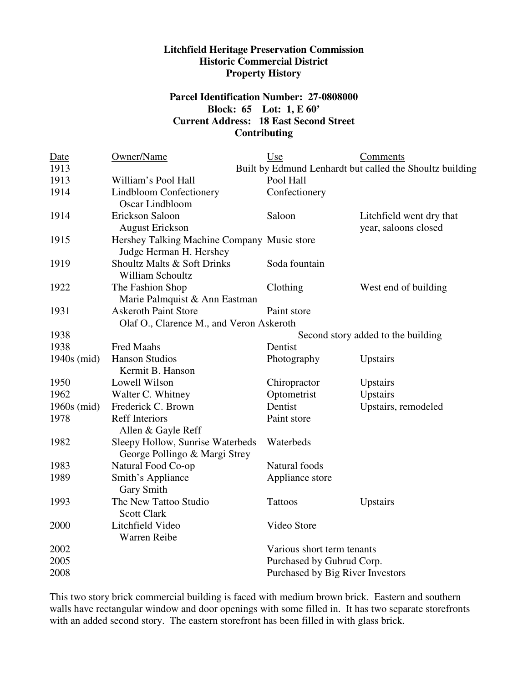## **Litchfield Heritage Preservation Commission Historic Commercial District Property History**

## **Parcel Identification Number: 27-0808000 Block: 65 Lot: 1, E 60' Current Address: 18 East Second Street Contributing**

| Date        | Owner/Name                                  | Use                              | Comments                                                 |
|-------------|---------------------------------------------|----------------------------------|----------------------------------------------------------|
| 1913        |                                             |                                  | Built by Edmund Lenhardt but called the Shoultz building |
| 1913        | William's Pool Hall                         | Pool Hall                        |                                                          |
| 1914        | <b>Lindbloom Confectionery</b>              | Confectionery                    |                                                          |
|             | Oscar Lindbloom                             |                                  |                                                          |
| 1914        | Erickson Saloon                             | Saloon                           | Litchfield went dry that                                 |
|             | <b>August Erickson</b>                      |                                  | year, saloons closed                                     |
| 1915        | Hershey Talking Machine Company Music store |                                  |                                                          |
|             | Judge Herman H. Hershey                     |                                  |                                                          |
| 1919        | Shoultz Malts & Soft Drinks                 | Soda fountain                    |                                                          |
|             | William Schoultz                            |                                  |                                                          |
| 1922        | The Fashion Shop                            | Clothing                         | West end of building                                     |
|             | Marie Palmquist & Ann Eastman               |                                  |                                                          |
| 1931        | <b>Askeroth Paint Store</b>                 | Paint store                      |                                                          |
|             | Olaf O., Clarence M., and Veron Askeroth    |                                  |                                                          |
| 1938        | Second story added to the building          |                                  |                                                          |
| 1938        | Fred Maahs                                  | Dentist                          |                                                          |
| 1940s (mid) | <b>Hanson Studios</b>                       | Photography                      | Upstairs                                                 |
|             | Kermit B. Hanson                            |                                  |                                                          |
| 1950        | Lowell Wilson                               | Chiropractor                     | Upstairs                                                 |
| 1962        | Walter C. Whitney                           | Optometrist                      | Upstairs                                                 |
| 1960s (mid) | Frederick C. Brown                          | Dentist                          | Upstairs, remodeled                                      |
| 1978        | <b>Reff Interiors</b>                       | Paint store                      |                                                          |
|             | Allen & Gayle Reff                          |                                  |                                                          |
| 1982        | Sleepy Hollow, Sunrise Waterbeds            | Waterbeds                        |                                                          |
|             | George Pollingo & Margi Strey               |                                  |                                                          |
| 1983        | Natural Food Co-op                          | Natural foods                    |                                                          |
| 1989        | Smith's Appliance                           | Appliance store                  |                                                          |
|             | <b>Gary Smith</b>                           |                                  |                                                          |
| 1993        | The New Tattoo Studio                       | <b>Tattoos</b>                   | Upstairs                                                 |
|             | <b>Scott Clark</b>                          |                                  |                                                          |
| 2000        | Litchfield Video                            | Video Store                      |                                                          |
|             | Warren Reibe                                |                                  |                                                          |
| 2002        |                                             | Various short term tenants       |                                                          |
| 2005        |                                             | Purchased by Gubrud Corp.        |                                                          |
| 2008        |                                             | Purchased by Big River Investors |                                                          |

This two story brick commercial building is faced with medium brown brick. Eastern and southern walls have rectangular window and door openings with some filled in. It has two separate storefronts with an added second story. The eastern storefront has been filled in with glass brick.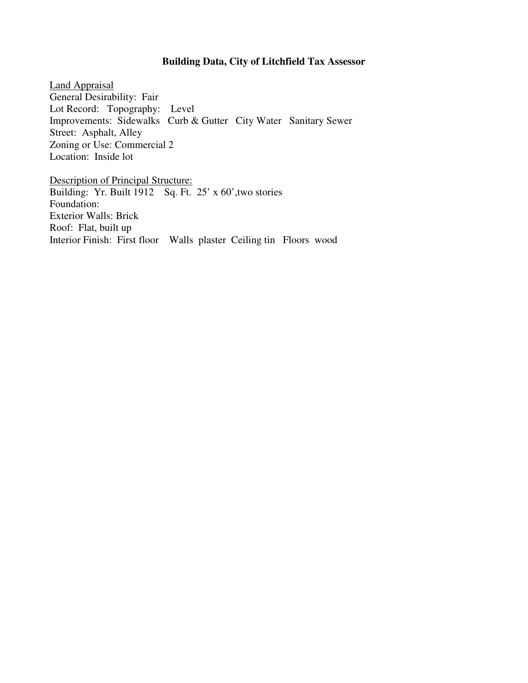## **Building Data, City of Litchfield Tax Assessor**

Land Appraisal General Desirability: Fair Lot Record: Topography: Level Improvements: Sidewalks Curb & Gutter City Water Sanitary Sewer Street: Asphalt, Alley Zoning or Use: Commercial 2 Location: Inside lot

Description of Principal Structure: Building: Yr. Built 1912 Sq. Ft. 25' x 60', two stories Foundation: Exterior Walls: Brick Roof: Flat, built up Interior Finish: First floor Walls plaster Ceiling tin Floors wood